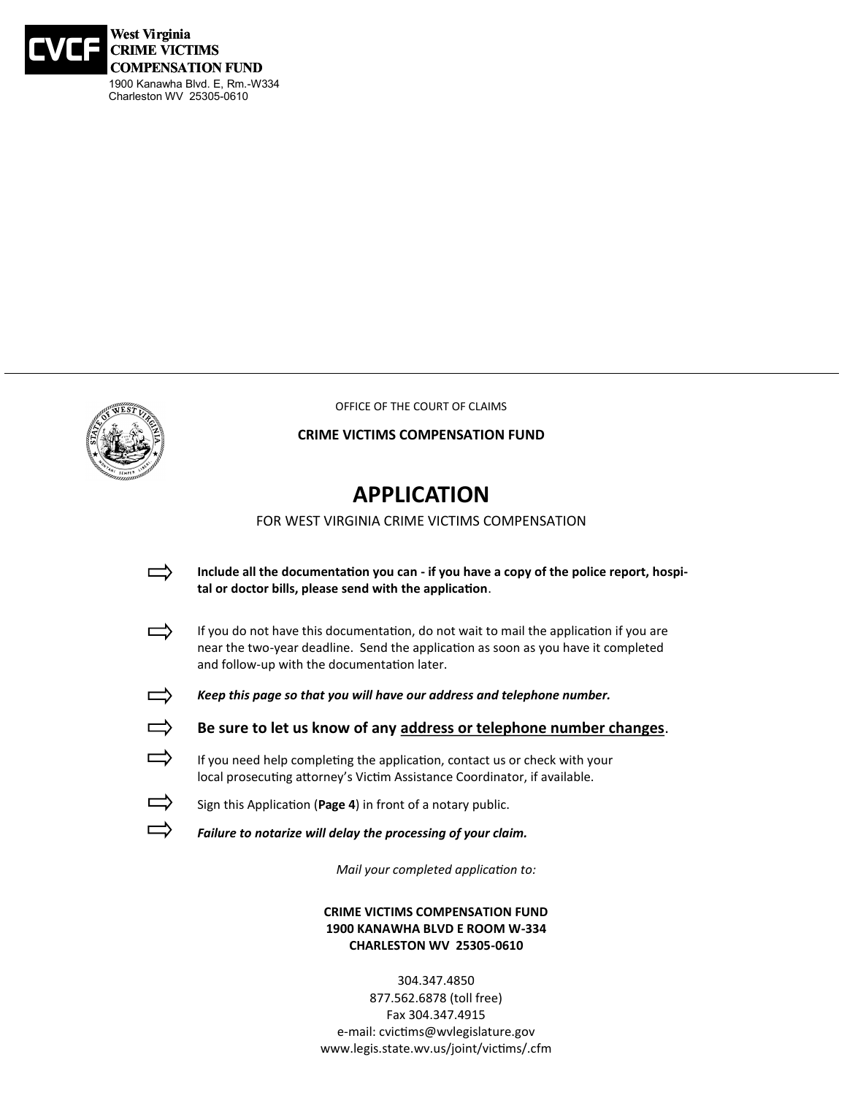



OFFICE OF THE COURT OF CLAIMS

### **CRIME VICTIMS COMPENSATION FUND**

## **APPLICATION**

FOR WEST VIRGINIA CRIME VICTIMS COMPENSATION

- **Include all the documentation you can - if you have a copy of the police report, hospi-** $\Rightarrow$ **tal or doctor bills, please send with the application**.
- $\Rightarrow$ If you do not have this documentation, do not wait to mail the application if you are near the two-year deadline. Send the application as soon as you have it completed and follow-up with the documentation later.



*Keep this page so that you will have our address and telephone number.*

- **Be sure to let us know of any address or telephone number changes**.
- $\Rightarrow$ If you need help completing the application, contact us or check with your local prosecuting attorney's Victim Assistance Coordinator, if available.
- $\overrightarrow{\phantom{a}}$ Sign this Application (**Page 4**) in front of a notary public.
	- *Failure to notarize will delay the processing of your claim.*

*Mail your completed application to:*

### **CRIME VICTIMS COMPENSATION FUND 1900 KANAWHA BLVD E ROOM W-334 CHARLESTON WV 25305-0610**

304.347.4850 877.562.6878 (toll free) Fax 304.347.4915 e-mail: cvictims@wvlegislature.gov www.legis.state.wv.us/joint/victims/.cfm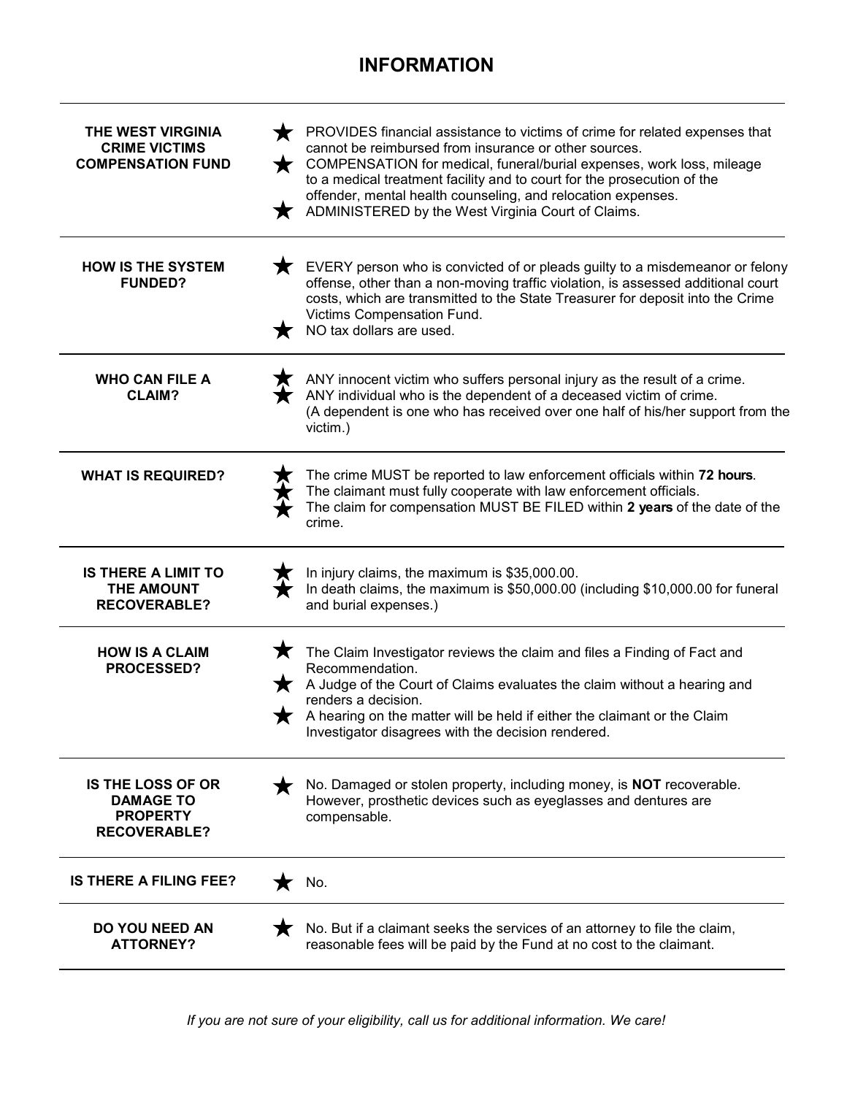## **INFORMATION**

| THE WEST VIRGINIA<br><b>CRIME VICTIMS</b><br><b>COMPENSATION FUND</b>                  | $\blacksquare$ | PROVIDES financial assistance to victims of crime for related expenses that<br>cannot be reimbursed from insurance or other sources.<br>COMPENSATION for medical, funeral/burial expenses, work loss, mileage<br>to a medical treatment facility and to court for the prosecution of the<br>offender, mental health counseling, and relocation expenses.<br>ADMINISTERED by the West Virginia Court of Claims. |
|----------------------------------------------------------------------------------------|----------------|----------------------------------------------------------------------------------------------------------------------------------------------------------------------------------------------------------------------------------------------------------------------------------------------------------------------------------------------------------------------------------------------------------------|
| <b>HOW IS THE SYSTEM</b><br><b>FUNDED?</b>                                             |                | EVERY person who is convicted of or pleads guilty to a misdemeanor or felony<br>offense, other than a non-moving traffic violation, is assessed additional court<br>costs, which are transmitted to the State Treasurer for deposit into the Crime<br>Victims Compensation Fund.<br>NO tax dollars are used.                                                                                                   |
| <b>WHO CAN FILE A</b><br><b>CLAIM?</b>                                                 |                | ANY innocent victim who suffers personal injury as the result of a crime.<br>ANY individual who is the dependent of a deceased victim of crime.<br>(A dependent is one who has received over one half of his/her support from the<br>victim.)                                                                                                                                                                  |
| <b>WHAT IS REQUIRED?</b>                                                               |                | The crime MUST be reported to law enforcement officials within 72 hours.<br>The claimant must fully cooperate with law enforcement officials.<br>The claim for compensation MUST BE FILED within 2 years of the date of the<br>crime.                                                                                                                                                                          |
| <b>IS THERE A LIMIT TO</b><br>THE AMOUNT<br><b>RECOVERABLE?</b>                        |                | In injury claims, the maximum is \$35,000.00.<br>In death claims, the maximum is \$50,000.00 (including \$10,000.00 for funeral<br>and burial expenses.)                                                                                                                                                                                                                                                       |
| <b>HOW IS A CLAIM</b><br>PROCESSED?                                                    |                | The Claim Investigator reviews the claim and files a Finding of Fact and<br>Recommendation.<br>$\bigstar$ A Judge of the Court of Claims evaluates the claim without a hearing and<br>renders a decision.<br>A hearing on the matter will be held if either the claimant or the Claim<br>Investigator disagrees with the decision rendered.                                                                    |
| <b>IS THE LOSS OF OR</b><br><b>DAMAGE TO</b><br><b>PROPERTY</b><br><b>RECOVERABLE?</b> |                | No. Damaged or stolen property, including money, is <b>NOT</b> recoverable.<br>However, prosthetic devices such as eyeglasses and dentures are<br>compensable.                                                                                                                                                                                                                                                 |
| <b>IS THERE A FILING FEE?</b>                                                          |                | No.                                                                                                                                                                                                                                                                                                                                                                                                            |
| <b>DO YOU NEED AN</b><br><b>ATTORNEY?</b>                                              |                | No. But if a claimant seeks the services of an attorney to file the claim,<br>reasonable fees will be paid by the Fund at no cost to the claimant.                                                                                                                                                                                                                                                             |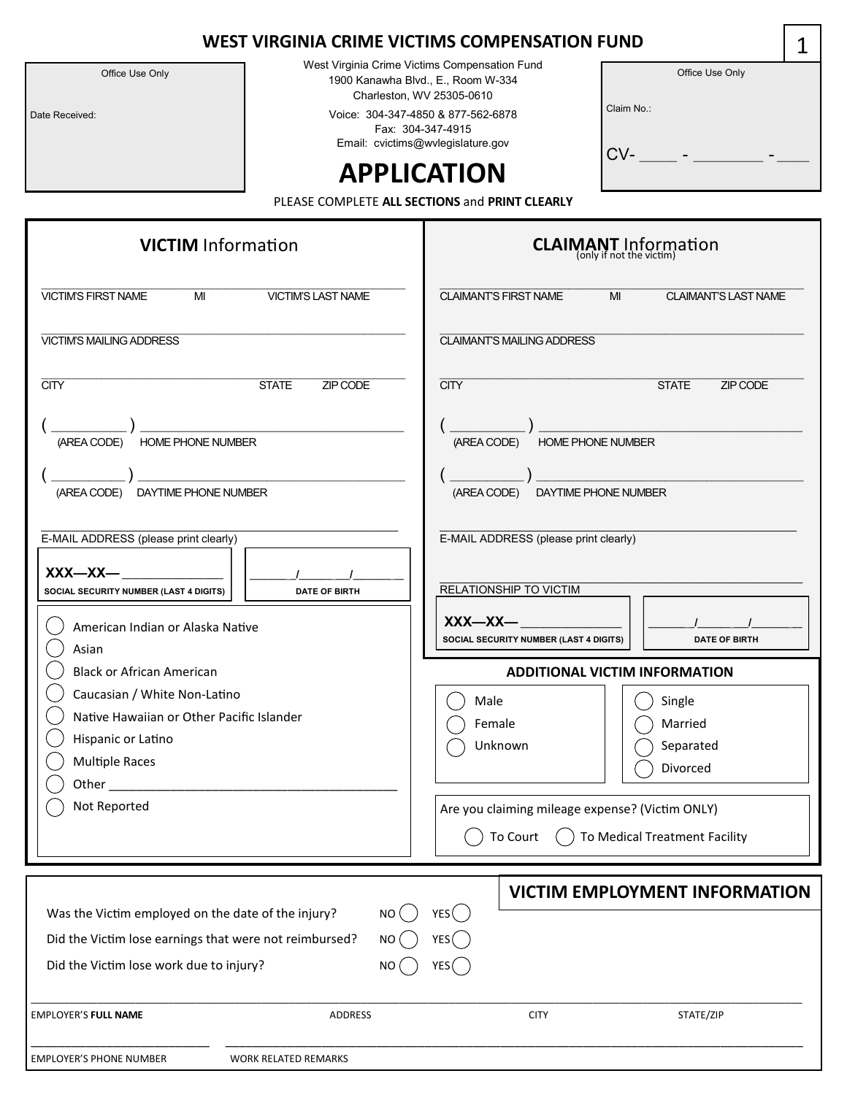Office Use Only

Date Received:

West Virginia Crime Victims Compensation Fund 1900 Kanawha Blvd., E., Room W-334 Charleston, WV 25305-0610

Voice: 304-347-4850 & 877-562-6878 Fax: 304-347-4915 Email: cvictims@wvlegislature.gov

|            | Office Use Only |  |
|------------|-----------------|--|
| Claim No.: |                 |  |
| CV-        |                 |  |

# **APPLICATION**

PLEASE COMPLETE **ALL SECTIONS** and **PRINT CLEARLY**

| <b>VICTIM</b> Information                                                                                                                                                                                                                                                                     | <b>CLAIMANT</b> Information                                                                                                                                        |
|-----------------------------------------------------------------------------------------------------------------------------------------------------------------------------------------------------------------------------------------------------------------------------------------------|--------------------------------------------------------------------------------------------------------------------------------------------------------------------|
| <b>VICTIM'S FIRST NAME</b><br>MI<br><b>VICTIM'S LAST NAME</b>                                                                                                                                                                                                                                 | <b>CLAIMANT'S FIRST NAME</b><br>MI<br><b>CLAIMANT'S LAST NAME</b>                                                                                                  |
| <b>VICTIM'S MAILING ADDRESS</b>                                                                                                                                                                                                                                                               | <b>CLAIMANT'S MAILING ADDRESS</b>                                                                                                                                  |
| <b>CITY</b><br><b>STATE</b><br>ZIP CODE<br>HOME PHONE NUMBER<br>(AREA CODE)                                                                                                                                                                                                                   | <b>CITY</b><br><b>STATE</b><br>ZIP CODE<br><b>HOME PHONE NUMBER</b><br>(AREA CODE)                                                                                 |
| (AREA CODE) DAYTIME PHONE NUMBER                                                                                                                                                                                                                                                              | (AREA CODE) DAYTIME PHONE NUMBER                                                                                                                                   |
| E-MAIL ADDRESS (please print clearly)                                                                                                                                                                                                                                                         | E-MAIL ADDRESS (please print clearly)<br>RELATIONSHIP TO VICTIM                                                                                                    |
| SOCIAL SECURITY NUMBER (LAST 4 DIGITS)<br><b>DATE OF BIRTH</b><br>American Indian or Alaska Native<br>Asian                                                                                                                                                                                   | $XXX$ — $XX$ —<br>SOCIAL SECURITY NUMBER (LAST 4 DIGITS)<br><b>DATE OF BIRTH</b>                                                                                   |
|                                                                                                                                                                                                                                                                                               |                                                                                                                                                                    |
| <b>Black or African American</b><br>Caucasian / White Non-Latino<br>Native Hawaiian or Other Pacific Islander<br>Hispanic or Latino<br><b>Multiple Races</b><br>Other and the contract of the contract of the contract of the contract of the contract of the contract of the<br>Not Reported | <b>ADDITIONAL VICTIM INFORMATION</b><br>Single<br>Male<br>Female<br>Married<br>Unknown<br>Separated<br>Divorced<br>Are you claiming mileage expense? (Victim ONLY) |
|                                                                                                                                                                                                                                                                                               | To Court<br>To Medical Treatment Facility<br><b>VICTIM EMPLOYMENT INFORMATION</b>                                                                                  |
| Was the Victim employed on the date of the injury?<br><b>NO</b><br>Did the Victim lose earnings that were not reimbursed?<br>ΝO<br>Did the Victim lose work due to injury?<br>NO.                                                                                                             | YES( )<br>YES (<br>YES (                                                                                                                                           |
| <b>EMPLOYER'S FULL NAME</b><br>ADDRESS                                                                                                                                                                                                                                                        | <b>CITY</b><br>STATE/ZIP                                                                                                                                           |

1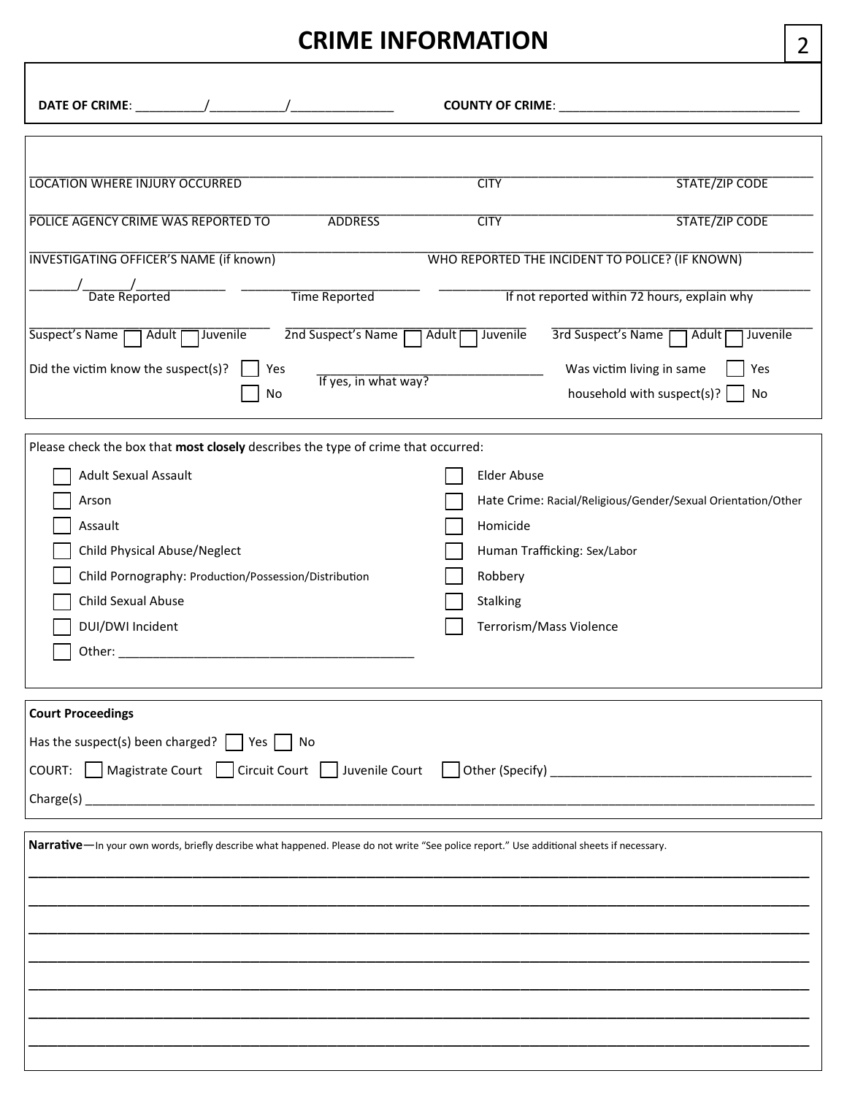# **CRIME INFORMATION**

|                                                                                                                                                                                                                                                                                                                                                               |                                                                                                                  | COUNTY OF CRIME: Network and the state of the state of the state of the state of the state of the state of the                                                                                                                                                                  |
|---------------------------------------------------------------------------------------------------------------------------------------------------------------------------------------------------------------------------------------------------------------------------------------------------------------------------------------------------------------|------------------------------------------------------------------------------------------------------------------|---------------------------------------------------------------------------------------------------------------------------------------------------------------------------------------------------------------------------------------------------------------------------------|
| <b>LOCATION WHERE INJURY OCCURRED</b><br>POLICE AGENCY CRIME WAS REPORTED TO<br><b>ADDRESS</b><br><b>INVESTIGATING OFFICER'S NAME (if known)</b><br>/________/<br>Date Reported<br><b>Time Reported</b><br>2nd Suspect's Name<br>Suspect's Name<br>Adult <sub>[</sub><br>Juvenile<br>Did the victim know the suspect(s)?<br>Yes<br>If yes, in what way?<br>No | <b>CITY</b><br><b>CITY</b><br>Juvenile<br>Adult <sub>[</sub>                                                     | <b>STATE/ZIP CODE</b><br><b>STATE/ZIP CODE</b><br>WHO REPORTED THE INCIDENT TO POLICE? (IF KNOWN)<br>If not reported within 72 hours, explain why<br>3rd Suspect's Name<br><b>Adult</b><br>Juvenile<br>Was victim living in same<br>Yes<br>household with suspect(s)? $ $<br>No |
| Please check the box that most closely describes the type of crime that occurred:<br><b>Adult Sexual Assault</b><br>Arson<br>Assault<br><b>Child Physical Abuse/Neglect</b><br>Child Pornography: Production/Possession/Distribution<br>Child Sexual Abuse<br>DUI/DWI Incident                                                                                | <b>Elder Abuse</b><br>Homicide<br>Human Trafficking: Sex/Labor<br>Robbery<br>Stalking<br>Terrorism/Mass Violence | Hate Crime: Racial/Religious/Gender/Sexual Orientation/Other                                                                                                                                                                                                                    |
| <b>Court Proceedings</b><br>Has the suspect(s) been charged? $\Box$ Yes $\Box$ No<br>COURT: Magistrate Court Circuit Court Juvenile Court Other (Specify) _______________________________<br>Narrative-In your own words, briefly describe what happened. Please do not write "See police report." Use additional sheets if necessary.                        |                                                                                                                  |                                                                                                                                                                                                                                                                                 |

\_\_\_\_\_\_\_\_\_\_\_\_\_\_\_\_\_\_\_\_\_\_\_\_\_\_\_\_\_\_\_\_\_\_\_\_\_\_\_\_\_\_\_\_\_\_\_\_\_\_\_\_\_\_\_\_\_\_\_\_\_\_\_\_\_\_\_\_\_\_\_\_\_\_\_\_\_\_\_\_\_

2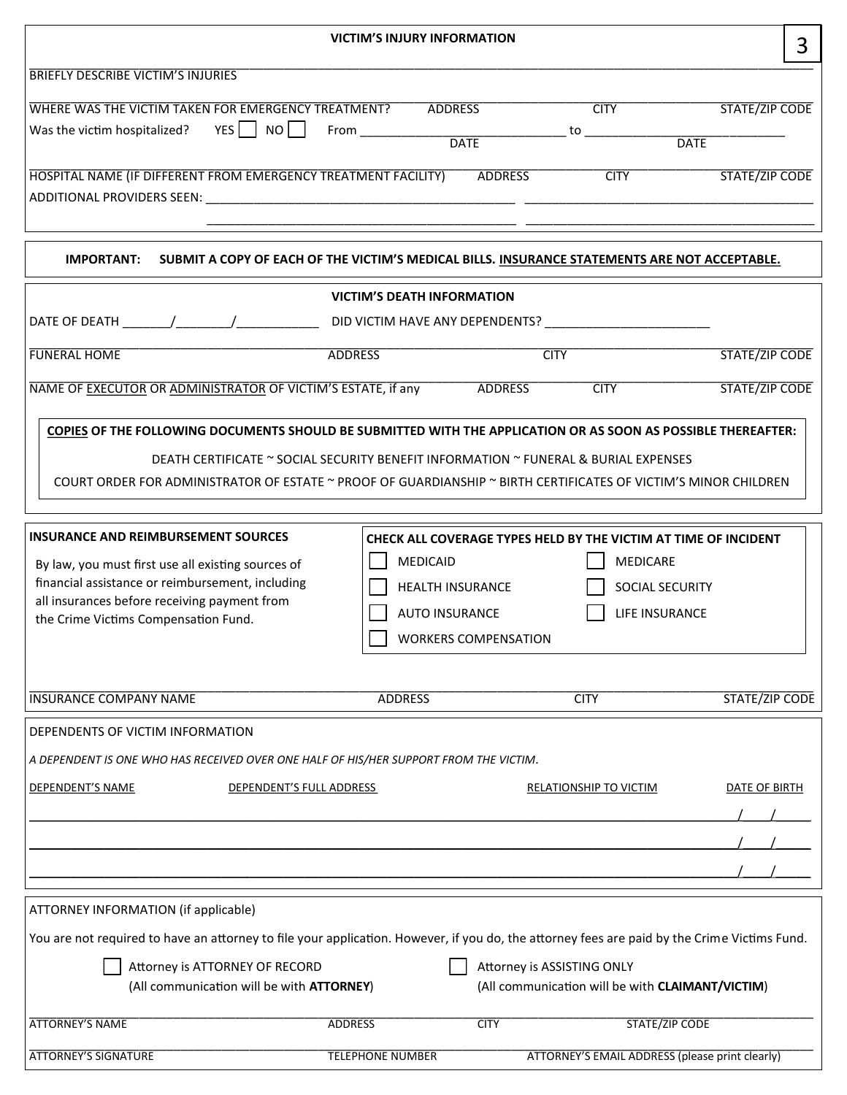|                                                                                                                                                                                                                                                                                                                         |                         | <b>VICTIM'S INJURY INFORMATION</b>                                                          |                                                                                                                         |                                      | 3 |
|-------------------------------------------------------------------------------------------------------------------------------------------------------------------------------------------------------------------------------------------------------------------------------------------------------------------------|-------------------------|---------------------------------------------------------------------------------------------|-------------------------------------------------------------------------------------------------------------------------|--------------------------------------|---|
| <b>BRIEFLY DESCRIBE VICTIM'S INJURIES</b>                                                                                                                                                                                                                                                                               |                         |                                                                                             |                                                                                                                         |                                      |   |
| WHERE WAS THE VICTIM TAKEN FOR EMERGENCY TREATMENT? ADDRESS<br>Was the victim hospitalized? $YES$ NO From _______                                                                                                                                                                                                       |                         | <b>DATE</b>                                                                                 | <b>CITY</b>                                                                                                             | <b>STATE/ZIP CODE</b><br><b>DATE</b> |   |
| HOSPITAL NAME (IF DIFFERENT FROM EMERGENCY TREATMENT FACILITY) ADDRESS                                                                                                                                                                                                                                                  |                         |                                                                                             | <b>CITY</b>                                                                                                             | <b>STATE/ZIP CODE</b>                |   |
| <b>IMPORTANT:</b><br>SUBMIT A COPY OF EACH OF THE VICTIM'S MEDICAL BILLS. INSURANCE STATEMENTS ARE NOT ACCEPTABLE.                                                                                                                                                                                                      |                         |                                                                                             |                                                                                                                         |                                      |   |
|                                                                                                                                                                                                                                                                                                                         |                         | <b>VICTIM'S DEATH INFORMATION</b>                                                           |                                                                                                                         |                                      |   |
|                                                                                                                                                                                                                                                                                                                         |                         |                                                                                             |                                                                                                                         |                                      |   |
| <b>FUNERAL HOME</b>                                                                                                                                                                                                                                                                                                     | <b>ADDRESS</b>          |                                                                                             | <b>CITY</b>                                                                                                             | <b>STATE/ZIP CODE</b>                |   |
| NAME OF EXECUTOR OR ADMINISTRATOR OF VICTIM'S ESTATE, if any ADDRESS                                                                                                                                                                                                                                                    |                         |                                                                                             | <b>CITY</b>                                                                                                             | <b>STATE/ZIP CODE</b>                |   |
| COPIES OF THE FOLLOWING DOCUMENTS SHOULD BE SUBMITTED WITH THE APPLICATION OR AS SOON AS POSSIBLE THEREAFTER:<br>DEATH CERTIFICATE ~ SOCIAL SECURITY BENEFIT INFORMATION ~ FUNERAL & BURIAL EXPENSES<br>COURT ORDER FOR ADMINISTRATOR OF ESTATE ~ PROOF OF GUARDIANSHIP ~ BIRTH CERTIFICATES OF VICTIM'S MINOR CHILDREN |                         |                                                                                             |                                                                                                                         |                                      |   |
| <b>INSURANCE AND REIMBURSEMENT SOURCES</b><br>By law, you must first use all existing sources of<br>financial assistance or reimbursement, including<br>all insurances before receiving payment from<br>the Crime Victims Compensation Fund.                                                                            |                         | <b>MEDICAID</b><br>HEALTH INSURANCE<br><b>AUTO INSURANCE</b><br><b>WORKERS COMPENSATION</b> | CHECK ALL COVERAGE TYPES HELD BY THE VICTIM AT TIME OF INCIDENT<br><b>MEDICARE</b><br>SOCIAL SECURITY<br>LIFE INSURANCE |                                      |   |
| <b>INSURANCE COMPANY NAME</b>                                                                                                                                                                                                                                                                                           | <b>ADDRESS</b>          |                                                                                             | <b>CITY</b>                                                                                                             | <b>STATE/ZIP CODE</b>                |   |
| DEPENDENTS OF VICTIM INFORMATION                                                                                                                                                                                                                                                                                        |                         |                                                                                             |                                                                                                                         |                                      |   |
| A DEPENDENT IS ONE WHO HAS RECEIVED OVER ONE HALF OF HIS/HER SUPPORT FROM THE VICTIM.                                                                                                                                                                                                                                   |                         |                                                                                             |                                                                                                                         |                                      |   |
| <b>DEPENDENT'S NAME</b><br>DEPENDENT'S FULL ADDRESS                                                                                                                                                                                                                                                                     |                         |                                                                                             | RELATIONSHIP TO VICTIM                                                                                                  | DATE OF BIRTH                        |   |
|                                                                                                                                                                                                                                                                                                                         |                         |                                                                                             |                                                                                                                         |                                      |   |
| ATTORNEY INFORMATION (if applicable)<br>You are not required to have an attorney to file your application. However, if you do, the attorney fees are paid by the Crime Victims Fund.<br>Attorney is ATTORNEY OF RECORD<br>(All communication will be with ATTORNEY)                                                     |                         |                                                                                             | Attorney is ASSISTING ONLY<br>(All communication will be with CLAIMANT/VICTIM)                                          |                                      |   |
| <b>ATTORNEY'S NAME</b>                                                                                                                                                                                                                                                                                                  | <b>ADDRESS</b>          | <b>CITY</b>                                                                                 | <b>STATE/ZIP CODE</b>                                                                                                   |                                      |   |
| <b>ATTORNEY'S SIGNATURE</b>                                                                                                                                                                                                                                                                                             | <b>TELEPHONE NUMBER</b> |                                                                                             | ATTORNEY'S EMAIL ADDRESS (please print clearly)                                                                         |                                      |   |